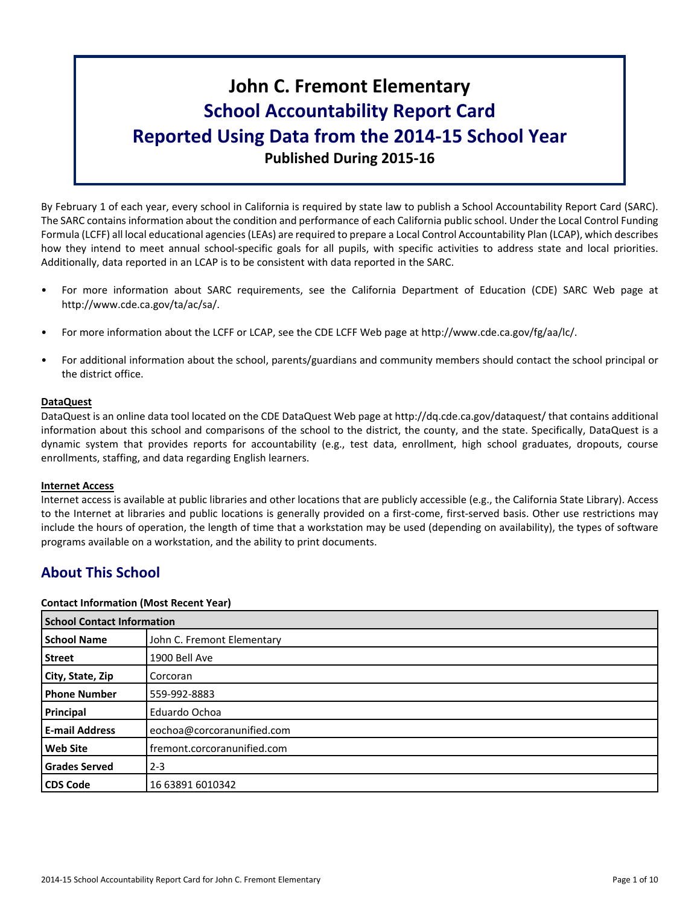# **John C. Fremont Elementary School Accountability Report Card Reported Using Data from the 2014-15 School Year Published During 2015-16**

By February 1 of each year, every school in California is required by state law to publish a School Accountability Report Card (SARC). The SARC contains information about the condition and performance of each California public school. Under the Local Control Funding Formula (LCFF) all local educational agencies(LEAs) are required to prepare a Local Control Accountability Plan (LCAP), which describes how they intend to meet annual school-specific goals for all pupils, with specific activities to address state and local priorities. Additionally, data reported in an LCAP is to be consistent with data reported in the SARC.

- For more information about SARC requirements, see the California Department of Education (CDE) SARC Web page at http://www.cde.ca.gov/ta/ac/sa/.
- For more information about the LCFF or LCAP, see the CDE LCFF Web page at http://www.cde.ca.gov/fg/aa/lc/.
- For additional information about the school, parents/guardians and community members should contact the school principal or the district office.

# **DataQuest**

DataQuest is an online data tool located on the CDE DataQuest Web page at http://dq.cde.ca.gov/dataquest/ that contains additional information about this school and comparisons of the school to the district, the county, and the state. Specifically, DataQuest is a dynamic system that provides reports for accountability (e.g., test data, enrollment, high school graduates, dropouts, course enrollments, staffing, and data regarding English learners.

# **Internet Access**

Internet access is available at public libraries and other locations that are publicly accessible (e.g., the California State Library). Access to the Internet at libraries and public locations is generally provided on a first-come, first-served basis. Other use restrictions may include the hours of operation, the length of time that a workstation may be used (depending on availability), the types of software programs available on a workstation, and the ability to print documents.

# **About This School**

#### **Contact Information (Most Recent Year)**

| <b>School Contact Information</b> |                             |
|-----------------------------------|-----------------------------|
| <b>School Name</b>                | John C. Fremont Elementary  |
| l Street                          | 1900 Bell Ave               |
| City, State, Zip                  | Corcoran                    |
| <b>Phone Number</b>               | 559-992-8883                |
| <b>Principal</b>                  | Eduardo Ochoa               |
| l E-mail Address                  | eochoa@corcoranunified.com  |
| Web Site                          | fremont.corcoranunified.com |
| <b>Grades Served</b>              | $2 - 3$                     |
| l CDS Code                        | 16 63891 6010342            |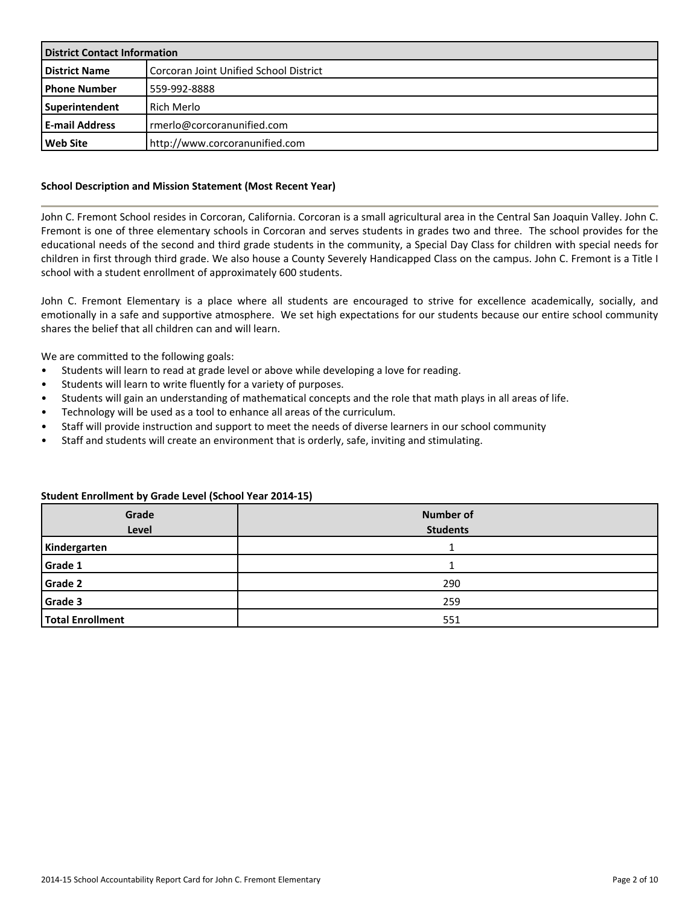| <b>District Contact Information</b> |                                        |  |  |  |
|-------------------------------------|----------------------------------------|--|--|--|
| <b>District Name</b>                | Corcoran Joint Unified School District |  |  |  |
| l Phone Number                      | 559-992-8888                           |  |  |  |
| Superintendent                      | Rich Merlo                             |  |  |  |
| <b>E-mail Address</b>               | merlo@corcoranunified.com              |  |  |  |
| l Web Site                          | http://www.corcoranunified.com         |  |  |  |

### **School Description and Mission Statement (Most Recent Year)**

John C. Fremont School resides in Corcoran, California. Corcoran is a small agricultural area in the Central San Joaquin Valley. John C. Fremont is one of three elementary schools in Corcoran and serves students in grades two and three. The school provides for the educational needs of the second and third grade students in the community, a Special Day Class for children with special needs for children in first through third grade. We also house a County Severely Handicapped Class on the campus. John C. Fremont is a Title I school with a student enrollment of approximately 600 students.

John C. Fremont Elementary is a place where all students are encouraged to strive for excellence academically, socially, and emotionally in a safe and supportive atmosphere. We set high expectations for our students because our entire school community shares the belief that all children can and will learn.

We are committed to the following goals:

- Students will learn to read at grade level or above while developing a love for reading.
- Students will learn to write fluently for a variety of purposes.
- Students will gain an understanding of mathematical concepts and the role that math plays in all areas of life.
- Technology will be used as a tool to enhance all areas of the curriculum.
- Staff will provide instruction and support to meet the needs of diverse learners in our school community
- Staff and students will create an environment that is orderly, safe, inviting and stimulating.

### **Student Enrollment by Grade Level (School Year 2014-15)**

| Grade<br>Level          | <b>Number of</b><br><b>Students</b> |
|-------------------------|-------------------------------------|
| Kindergarten            |                                     |
| Grade 1                 |                                     |
| <b>Grade 2</b>          | 290                                 |
| Grade 3                 | 259                                 |
| <b>Total Enrollment</b> | 551                                 |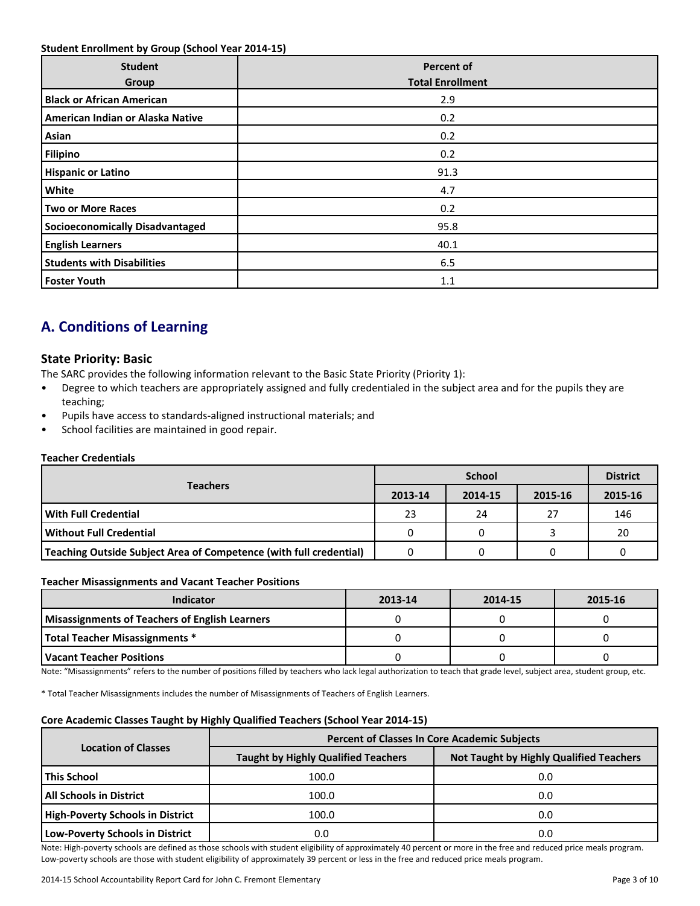### **Student Enrollment by Group (School Year 2014-15)**

| <b>Student</b><br>Group                | <b>Percent of</b><br><b>Total Enrollment</b> |
|----------------------------------------|----------------------------------------------|
| <b>Black or African American</b>       | 2.9                                          |
| American Indian or Alaska Native       | 0.2                                          |
| Asian                                  | 0.2                                          |
| <b>Filipino</b>                        | 0.2                                          |
| <b>Hispanic or Latino</b>              | 91.3                                         |
| White                                  | 4.7                                          |
| <b>Two or More Races</b>               | 0.2                                          |
| <b>Socioeconomically Disadvantaged</b> | 95.8                                         |
| <b>English Learners</b>                | 40.1                                         |
| <b>Students with Disabilities</b>      | 6.5                                          |
| <b>Foster Youth</b>                    | 1.1                                          |

# **A. Conditions of Learning**

# **State Priority: Basic**

The SARC provides the following information relevant to the Basic State Priority (Priority 1):

- Degree to which teachers are appropriately assigned and fully credentialed in the subject area and for the pupils they are teaching;
- Pupils have access to standards-aligned instructional materials; and
- School facilities are maintained in good repair.

### **Teacher Credentials**

|                                                                    |         | <b>District</b> |         |         |
|--------------------------------------------------------------------|---------|-----------------|---------|---------|
| <b>Teachers</b>                                                    | 2013-14 | 2014-15         | 2015-16 | 2015-16 |
| With Full Credential                                               | 23      | 24              | 27      | 146     |
| Without Full Credential                                            | 0       |                 |         | -20     |
| Teaching Outside Subject Area of Competence (with full credential) |         |                 |         |         |

#### **Teacher Misassignments and Vacant Teacher Positions**

| <b>Indicator</b>                               | 2013-14 | 2014-15 | 2015-16 |
|------------------------------------------------|---------|---------|---------|
| Misassignments of Teachers of English Learners |         |         |         |
| Total Teacher Misassignments *                 |         |         |         |
| l Vacant Teacher Positions                     |         |         |         |

Note: "Misassignments" refers to the number of positions filled by teachers who lack legal authorization to teach that grade level, subject area, student group, etc.

\* Total Teacher Misassignments includes the number of Misassignments of Teachers of English Learners.

# **Core Academic Classes Taught by Highly Qualified Teachers (School Year 2014-15)**

|                                         | <b>Percent of Classes In Core Academic Subjects</b> |                                                |  |  |  |  |
|-----------------------------------------|-----------------------------------------------------|------------------------------------------------|--|--|--|--|
| <b>Location of Classes</b>              | <b>Taught by Highly Qualified Teachers</b>          | <b>Not Taught by Highly Qualified Teachers</b> |  |  |  |  |
| <b>This School</b>                      | 100.0                                               | 0.0                                            |  |  |  |  |
| <b>All Schools in District</b>          | 100.0                                               | 0.0                                            |  |  |  |  |
| <b>High-Poverty Schools in District</b> | 100.0                                               | 0.0                                            |  |  |  |  |
| <b>Low-Poverty Schools in District</b>  | 0.0                                                 | 0.0                                            |  |  |  |  |

Note: High-poverty schools are defined as those schools with student eligibility of approximately 40 percent or more in the free and reduced price meals program. Low-poverty schools are those with student eligibility of approximately 39 percent or less in the free and reduced price meals program.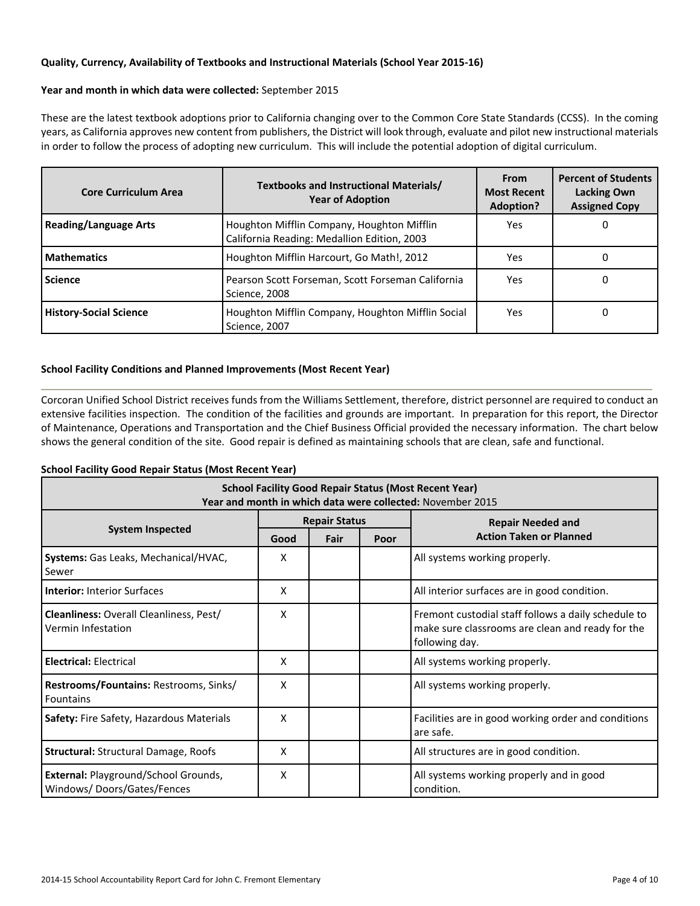# **Quality, Currency, Availability of Textbooks and Instructional Materials (School Year 2015-16)**

# **Year and month in which data were collected:** September 2015

These are the latest textbook adoptions prior to California changing over to the Common Core State Standards (CCSS). In the coming years, as California approves new content from publishers, the District will look through, evaluate and pilot new instructional materials in order to follow the process of adopting new curriculum. This will include the potential adoption of digital curriculum.

| <b>Core Curriculum Area</b>   | Textbooks and Instructional Materials/<br><b>Year of Adoption</b>                         | <b>From</b><br><b>Most Recent</b><br><b>Adoption?</b> | <b>Percent of Students</b><br><b>Lacking Own</b><br><b>Assigned Copy</b> |  |
|-------------------------------|-------------------------------------------------------------------------------------------|-------------------------------------------------------|--------------------------------------------------------------------------|--|
| <b>Reading/Language Arts</b>  | Houghton Mifflin Company, Houghton Mifflin<br>California Reading: Medallion Edition, 2003 | Yes                                                   | 0                                                                        |  |
| <b>Mathematics</b>            | Houghton Mifflin Harcourt, Go Math!, 2012                                                 | Yes                                                   | 0                                                                        |  |
| <b>Science</b>                | Pearson Scott Forseman, Scott Forseman California<br>Science, 2008                        | Yes                                                   | 0                                                                        |  |
| <b>History-Social Science</b> | Houghton Mifflin Company, Houghton Mifflin Social<br>Science, 2007                        | Yes                                                   | 0                                                                        |  |

# **School Facility Conditions and Planned Improvements (Most Recent Year)**

Corcoran Unified School District receives funds from the Williams Settlement, therefore, district personnel are required to conduct an extensive facilities inspection. The condition of the facilities and grounds are important. In preparation for this report, the Director of Maintenance, Operations and Transportation and the Chief Business Official provided the necessary information. The chart below shows the general condition of the site. Good repair is defined as maintaining schools that are clean, safe and functional.

# **School Facility Good Repair Status (Most Recent Year)**

| <b>School Facility Good Repair Status (Most Recent Year)</b><br>Year and month in which data were collected: November 2015 |      |                      |      |                                                                                                                           |  |  |
|----------------------------------------------------------------------------------------------------------------------------|------|----------------------|------|---------------------------------------------------------------------------------------------------------------------------|--|--|
|                                                                                                                            |      | <b>Repair Status</b> |      | <b>Repair Needed and</b>                                                                                                  |  |  |
| <b>System Inspected</b>                                                                                                    | Good | Fair                 | Poor | <b>Action Taken or Planned</b>                                                                                            |  |  |
| Systems: Gas Leaks, Mechanical/HVAC,<br>Sewer                                                                              | x    |                      |      | All systems working properly.                                                                                             |  |  |
| <b>Interior: Interior Surfaces</b>                                                                                         | x    |                      |      | All interior surfaces are in good condition.                                                                              |  |  |
| Cleanliness: Overall Cleanliness, Pest/<br>Vermin Infestation                                                              | x    |                      |      | Fremont custodial staff follows a daily schedule to<br>make sure classrooms are clean and ready for the<br>following day. |  |  |
| <b>Electrical: Electrical</b>                                                                                              | x    |                      |      | All systems working properly.                                                                                             |  |  |
| Restrooms/Fountains: Restrooms, Sinks/<br><b>Fountains</b>                                                                 | x    |                      |      | All systems working properly.                                                                                             |  |  |
| Safety: Fire Safety, Hazardous Materials                                                                                   | x    |                      |      | Facilities are in good working order and conditions<br>are safe.                                                          |  |  |
| <b>Structural: Structural Damage, Roofs</b>                                                                                | x    |                      |      | All structures are in good condition.                                                                                     |  |  |
| External: Playground/School Grounds,<br>Windows/Doors/Gates/Fences                                                         | X    |                      |      | All systems working properly and in good<br>condition.                                                                    |  |  |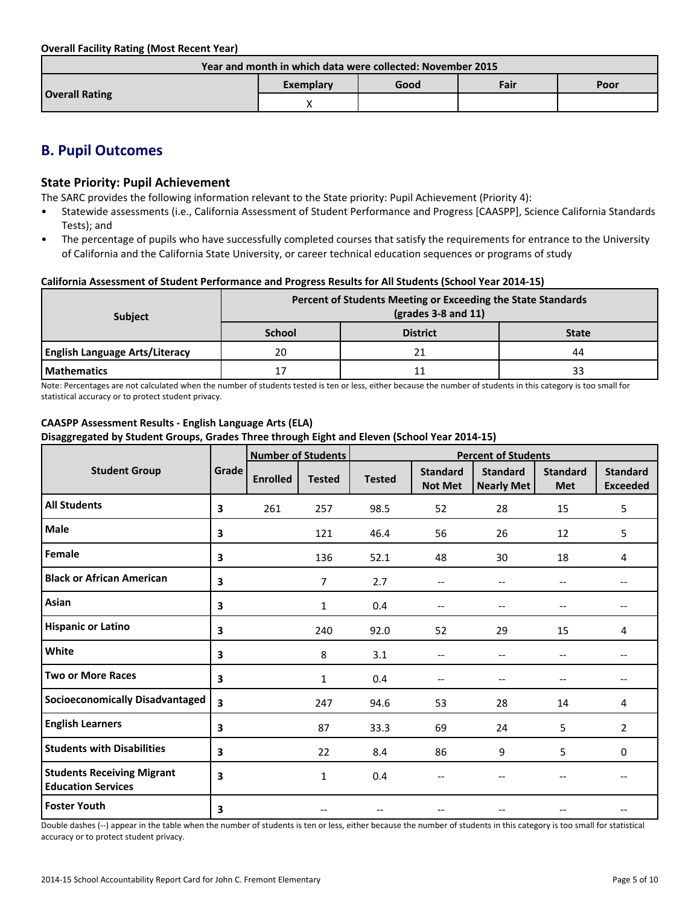**Overall Facility Rating (Most Recent Year)**

| Year and month in which data were collected: November 2015 |           |      |      |      |  |  |
|------------------------------------------------------------|-----------|------|------|------|--|--|
|                                                            | Exemplary | Good | Fair | Poor |  |  |
| <b>Overall Rating</b>                                      |           |      |      |      |  |  |

# **B. Pupil Outcomes**

# **State Priority: Pupil Achievement**

The SARC provides the following information relevant to the State priority: Pupil Achievement (Priority 4):

- Statewide assessments (i.e., California Assessment of Student Performance and Progress [CAASPP], Science California Standards Tests); and
- The percentage of pupils who have successfully completed courses that satisfy the requirements for entrance to the University of California and the California State University, or career technical education sequences or programs of study

### **California Assessment of Student Performance and Progress Results for All Students (School Year 2014-15)**

| <b>Subject</b>                        | Percent of Students Meeting or Exceeding the State Standards<br>$\left(\frac{\text{grades}}{3-8}\right)$ and 11) |                 |              |  |  |
|---------------------------------------|------------------------------------------------------------------------------------------------------------------|-----------------|--------------|--|--|
|                                       | <b>School</b>                                                                                                    | <b>District</b> | <b>State</b> |  |  |
| <b>English Language Arts/Literacy</b> | 20                                                                                                               | 21              | 44           |  |  |
| <b>Mathematics</b>                    | 17                                                                                                               | 11              |              |  |  |

Note: Percentages are not calculated when the number of students tested is ten or less, either because the number of students in this category is too small for statistical accuracy or to protect student privacy.

# **CAASPP Assessment Results - English Language Arts (ELA) Disaggregated by Student Groups, Grades Three through Eight and Eleven (School Year 2014-15)**

|                                                                |       | <b>Number of Students</b> |               | <b>Percent of Students</b> |                                   |                                      |                               |                                    |
|----------------------------------------------------------------|-------|---------------------------|---------------|----------------------------|-----------------------------------|--------------------------------------|-------------------------------|------------------------------------|
| <b>Student Group</b>                                           | Grade | <b>Enrolled</b>           | <b>Tested</b> | <b>Tested</b>              | <b>Standard</b><br><b>Not Met</b> | <b>Standard</b><br><b>Nearly Met</b> | <b>Standard</b><br><b>Met</b> | <b>Standard</b><br><b>Exceeded</b> |
| <b>All Students</b>                                            | 3     | 261                       | 257           | 98.5                       | 52                                | 28                                   | 15                            | 5                                  |
| <b>Male</b>                                                    | 3     |                           | 121           | 46.4                       | 56                                | 26                                   | 12                            | 5                                  |
| Female                                                         | 3     |                           | 136           | 52.1                       | 48                                | 30                                   | 18                            | 4                                  |
| <b>Black or African American</b>                               | 3     |                           | 7             | 2.7                        | $\overline{\phantom{m}}$          | --                                   | $\overline{\phantom{a}}$      | $-$                                |
| Asian                                                          | 3     |                           | $\mathbf{1}$  | 0.4                        | $-$                               | $-$                                  | $\overline{\phantom{a}}$      | $-$                                |
| <b>Hispanic or Latino</b>                                      | 3     |                           | 240           | 92.0                       | 52                                | 29                                   | 15                            | 4                                  |
| White                                                          | 3     |                           | 8             | 3.1                        | $\qquad \qquad -$                 | --                                   | $\qquad \qquad -$             | --                                 |
| <b>Two or More Races</b>                                       | 3     |                           | $\mathbf{1}$  | 0.4                        | $-$                               | --                                   | $-$                           | $-$                                |
| <b>Socioeconomically Disadvantaged</b>                         | 3     |                           | 247           | 94.6                       | 53                                | 28                                   | 14                            | 4                                  |
| <b>English Learners</b>                                        | 3     |                           | 87            | 33.3                       | 69                                | 24                                   | 5                             | 2                                  |
| <b>Students with Disabilities</b>                              | 3     |                           | 22            | 8.4                        | 86                                | 9                                    | 5                             | 0                                  |
| <b>Students Receiving Migrant</b><br><b>Education Services</b> | 3     |                           | $\mathbf{1}$  | 0.4                        | --                                |                                      |                               |                                    |
| <b>Foster Youth</b>                                            | 3     |                           |               |                            | --                                |                                      |                               | $-$                                |

Double dashes (--) appear in the table when the number of students is ten or less, either because the number of students in this category is too small for statistical accuracy or to protect student privacy.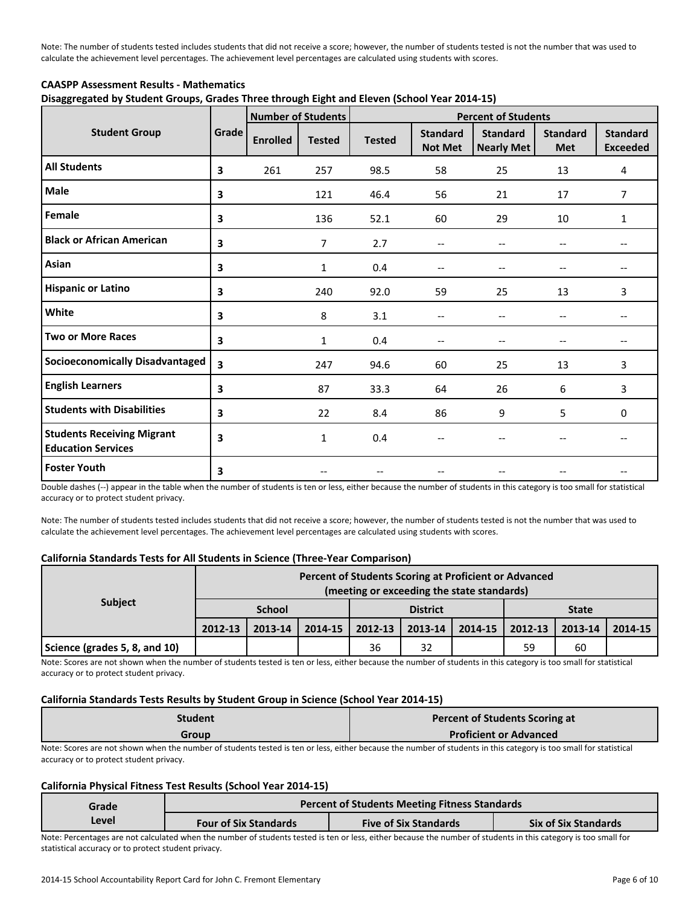Note: The number of students tested includes students that did not receive a score; however, the number of students tested is not the number that was used to calculate the achievement level percentages. The achievement level percentages are calculated using students with scores.

# **CAASPP Assessment Results - Mathematics Disaggregated by Student Groups, Grades Three through Eight and Eleven (School Year 2014-15)**

|                                                                |       |                 | <b>Number of Students</b> | <b>Percent of Students</b> |                                   |                                      |                               |                                    |
|----------------------------------------------------------------|-------|-----------------|---------------------------|----------------------------|-----------------------------------|--------------------------------------|-------------------------------|------------------------------------|
| <b>Student Group</b>                                           | Grade | <b>Enrolled</b> | <b>Tested</b>             | <b>Tested</b>              | <b>Standard</b><br><b>Not Met</b> | <b>Standard</b><br><b>Nearly Met</b> | <b>Standard</b><br><b>Met</b> | <b>Standard</b><br><b>Exceeded</b> |
| <b>All Students</b>                                            | 3     | 261             | 257                       | 98.5                       | 58                                | 25                                   | 13                            | 4                                  |
| <b>Male</b>                                                    | 3     |                 | 121                       | 46.4                       | 56                                | 21                                   | 17                            | $\overline{7}$                     |
| Female                                                         | 3     |                 | 136                       | 52.1                       | 60                                | 29                                   | 10                            | $\mathbf{1}$                       |
| <b>Black or African American</b>                               | 3     |                 | $\overline{7}$            | 2.7                        | --                                |                                      |                               |                                    |
| Asian                                                          | 3     |                 | $\mathbf{1}$              | 0.4                        | --                                |                                      | --                            | $- -$                              |
| <b>Hispanic or Latino</b>                                      | 3     |                 | 240                       | 92.0                       | 59                                | 25                                   | 13                            | 3                                  |
| White                                                          | 3     |                 | 8                         | 3.1                        | --                                |                                      | --                            | $- -$                              |
| <b>Two or More Races</b>                                       | 3     |                 | $\mathbf{1}$              | 0.4                        | $-$                               |                                      | $-$                           | $-$                                |
| <b>Socioeconomically Disadvantaged</b>                         | 3     |                 | 247                       | 94.6                       | 60                                | 25                                   | 13                            | 3                                  |
| <b>English Learners</b>                                        | 3     |                 | 87                        | 33.3                       | 64                                | 26                                   | 6                             | 3                                  |
| <b>Students with Disabilities</b>                              | 3     |                 | 22                        | 8.4                        | 86                                | 9                                    | 5                             | $\mathbf 0$                        |
| <b>Students Receiving Migrant</b><br><b>Education Services</b> | 3     |                 | $\mathbf{1}$              | 0.4                        |                                   |                                      |                               |                                    |
| <b>Foster Youth</b>                                            | 3     |                 |                           |                            |                                   |                                      |                               |                                    |

Double dashes (--) appear in the table when the number of students is ten or less, either because the number of students in this category is too small for statistical accuracy or to protect student privacy.

Note: The number of students tested includes students that did not receive a score; however, the number of students tested is not the number that was used to calculate the achievement level percentages. The achievement level percentages are calculated using students with scores.

#### **California Standards Tests for All Students in Science (Three-Year Comparison)**

|                               |               |         |         |                 | Percent of Students Scoring at Proficient or Advanced<br>(meeting or exceeding the state standards) |         |              |         |         |
|-------------------------------|---------------|---------|---------|-----------------|-----------------------------------------------------------------------------------------------------|---------|--------------|---------|---------|
| <b>Subject</b>                | <b>School</b> |         |         | <b>District</b> |                                                                                                     |         | <b>State</b> |         |         |
|                               | 2012-13       | 2013-14 | 2014-15 | 2012-13         | 2013-14                                                                                             | 2014-15 | 2012-13      | 2013-14 | 2014-15 |
| Science (grades 5, 8, and 10) |               |         |         | 36              | 32                                                                                                  |         | 59           | 60      |         |

Note: Scores are not shown when the number of students tested is ten or less, either because the number of students in this category is too small for statistical accuracy or to protect student privacy.

#### **California Standards Tests Results by Student Group in Science (School Year 2014-15)**

| Student       | Percent of Students Scoring at |
|---------------|--------------------------------|
| Group         | <b>Proficient or Advanced</b>  |
| $\sim$ $\sim$ | .                              |

Note: Scores are not shown when the number of students tested is ten or less, either because the number of students in this category is too small for statistical accuracy or to protect student privacy.

#### **California Physical Fitness Test Results (School Year 2014-15)**

| Grade | <b>Percent of Students Meeting Fitness Standards</b> |                              |                             |  |  |  |  |
|-------|------------------------------------------------------|------------------------------|-----------------------------|--|--|--|--|
| Level | <b>Four of Six Standards</b>                         | <b>Five of Six Standards</b> | <b>Six of Six Standards</b> |  |  |  |  |

Note: Percentages are not calculated when the number of students tested is ten or less, either because the number of students in this category is too small for statistical accuracy or to protect student privacy.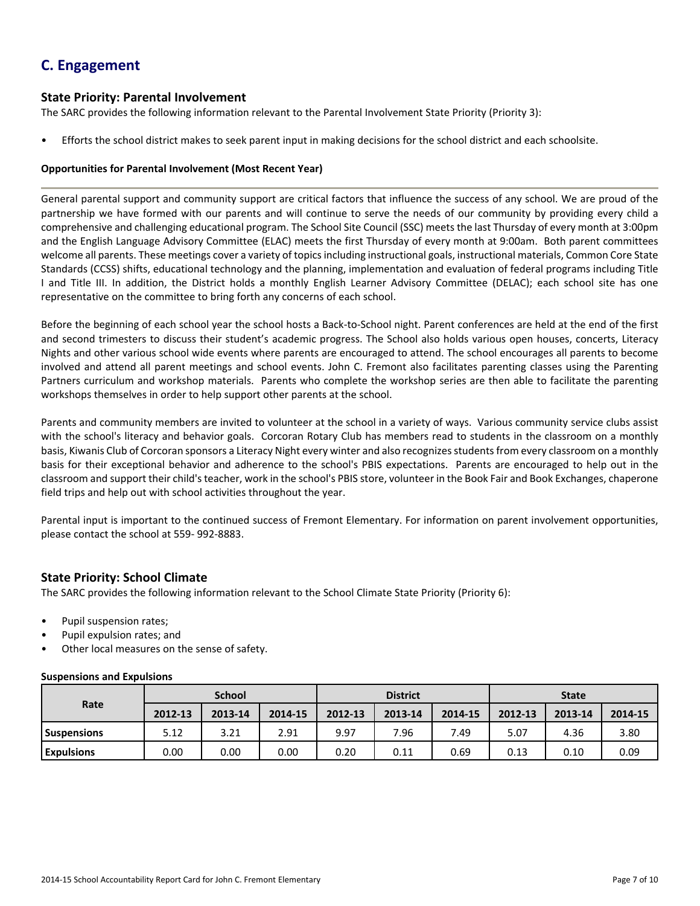# **C. Engagement**

# **State Priority: Parental Involvement**

The SARC provides the following information relevant to the Parental Involvement State Priority (Priority 3):

• Efforts the school district makes to seek parent input in making decisions for the school district and each schoolsite.

### **Opportunities for Parental Involvement (Most Recent Year)**

General parental support and community support are critical factors that influence the success of any school. We are proud of the partnership we have formed with our parents and will continue to serve the needs of our community by providing every child a comprehensive and challenging educational program. The School Site Council (SSC) meets the last Thursday of every month at 3:00pm and the English Language Advisory Committee (ELAC) meets the first Thursday of every month at 9:00am. Both parent committees welcome all parents. These meetings cover a variety of topics including instructional goals, instructional materials, Common Core State Standards (CCSS) shifts, educational technology and the planning, implementation and evaluation of federal programs including Title I and Title III. In addition, the District holds a monthly English Learner Advisory Committee (DELAC); each school site has one representative on the committee to bring forth any concerns of each school.

Before the beginning of each school year the school hosts a Back-to-School night. Parent conferences are held at the end of the first and second trimesters to discuss their student's academic progress. The School also holds various open houses, concerts, Literacy Nights and other various school wide events where parents are encouraged to attend. The school encourages all parents to become involved and attend all parent meetings and school events. John C. Fremont also facilitates parenting classes using the Parenting Partners curriculum and workshop materials. Parents who complete the workshop series are then able to facilitate the parenting workshops themselves in order to help support other parents at the school.

Parents and community members are invited to volunteer at the school in a variety of ways. Various community service clubs assist with the school's literacy and behavior goals. Corcoran Rotary Club has members read to students in the classroom on a monthly basis, Kiwanis Club of Corcoran sponsors a Literacy Night every winter and also recognizes students from every classroom on a monthly basis for their exceptional behavior and adherence to the school's PBIS expectations. Parents are encouraged to help out in the classroom and support their child'steacher, work in the school's PBIS store, volunteer in the Book Fair and Book Exchanges, chaperone field trips and help out with school activities throughout the year.

Parental input is important to the continued success of Fremont Elementary. For information on parent involvement opportunities, please contact the school at 559- 992-8883.

# **State Priority: School Climate**

The SARC provides the following information relevant to the School Climate State Priority (Priority 6):

- Pupil suspension rates;
- Pupil expulsion rates; and
- Other local measures on the sense of safety.

#### **Suspensions and Expulsions**

|                    | <b>School</b> |         |         | <b>District</b> |         |         | <b>State</b> |         |         |
|--------------------|---------------|---------|---------|-----------------|---------|---------|--------------|---------|---------|
| Rate               | 2012-13       | 2013-14 | 2014-15 | 2012-13         | 2013-14 | 2014-15 | 2012-13      | 2013-14 | 2014-15 |
| <b>Suspensions</b> | 5.12          | 3.21    | 2.91    | 9.97            | 7.96    | 7.49    | 5.07         | 4.36    | 3.80    |
| <b>Expulsions</b>  | 0.00          | 0.00    | 0.00    | 0.20            | 0.11    | 0.69    | 0.13         | 0.10    | 0.09    |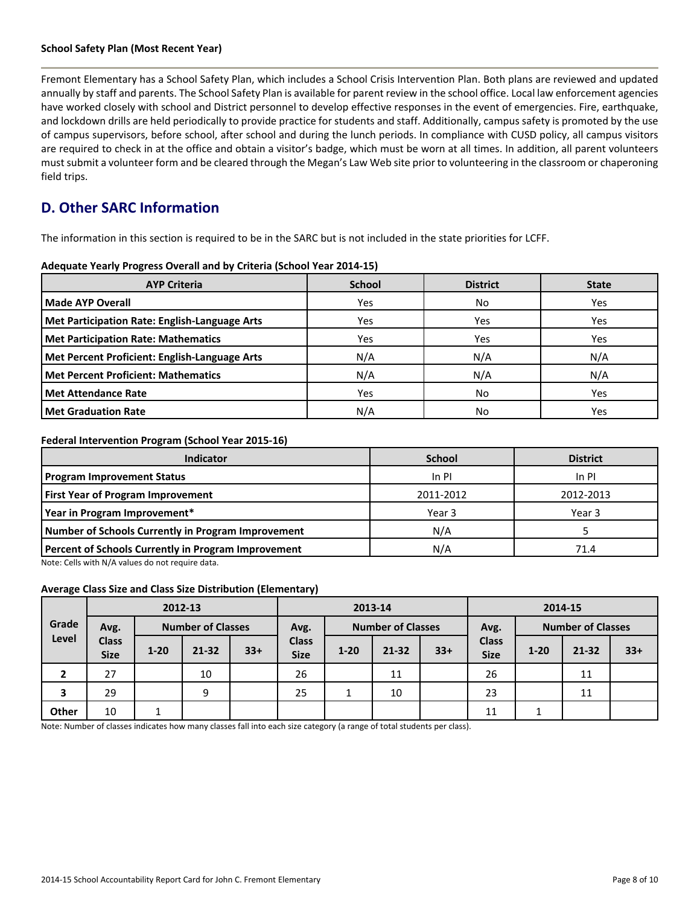#### **School Safety Plan (Most Recent Year)**

Fremont Elementary has a School Safety Plan, which includes a School Crisis Intervention Plan. Both plans are reviewed and updated annually by staff and parents. The School Safety Plan is available for parent review in the school office. Local law enforcement agencies have worked closely with school and District personnel to develop effective responses in the event of emergencies. Fire, earthquake, and lockdown drills are held periodically to provide practice for students and staff. Additionally, campus safety is promoted by the use of campus supervisors, before school, after school and during the lunch periods. In compliance with CUSD policy, all campus visitors are required to check in at the office and obtain a visitor's badge, which must be worn at all times. In addition, all parent volunteers mustsubmit a volunteer form and be cleared through the Megan's Law Web site prior to volunteering in the classroom or chaperoning field trips.

# **D. Other SARC Information**

The information in this section is required to be in the SARC but is not included in the state priorities for LCFF.

|  |  |  |  |  | Adequate Yearly Progress Overall and by Criteria (School Year 2014-15) |
|--|--|--|--|--|------------------------------------------------------------------------|
|--|--|--|--|--|------------------------------------------------------------------------|

| <b>AYP Criteria</b>                           | <b>School</b> | <b>District</b> | <b>State</b> |
|-----------------------------------------------|---------------|-----------------|--------------|
| <b>Made AYP Overall</b>                       | Yes           | No              | Yes          |
| Met Participation Rate: English-Language Arts | Yes           | Yes             | Yes          |
| Met Participation Rate: Mathematics           | Yes           | Yes             | Yes          |
| Met Percent Proficient: English-Language Arts | N/A           | N/A             | N/A          |
| <b>Met Percent Proficient: Mathematics</b>    | N/A           | N/A             | N/A          |
| <b>Met Attendance Rate</b>                    | Yes           | No              | Yes          |
| <b>Met Graduation Rate</b>                    | N/A           | No              | Yes          |

### **Federal Intervention Program (School Year 2015-16)**

| Indicator                                           | <b>School</b> | <b>District</b> |
|-----------------------------------------------------|---------------|-----------------|
| <b>Program Improvement Status</b>                   | In PI         | In PI           |
| First Year of Program Improvement                   | 2011-2012     | 2012-2013       |
| Year in Program Improvement*                        | Year 3        | Year 3          |
| Number of Schools Currently in Program Improvement  | N/A           |                 |
| Percent of Schools Currently in Program Improvement | N/A           | 71.4            |

Note: Cells with N/A values do not require data.

#### **Average Class Size and Class Size Distribution (Elementary)**

|       |                             |          | 2012-13                  |       | 2013-14                     |          |                          | 2014-15 |                             |          |                          |       |
|-------|-----------------------------|----------|--------------------------|-------|-----------------------------|----------|--------------------------|---------|-----------------------------|----------|--------------------------|-------|
| Grade | Avg.                        |          | <b>Number of Classes</b> |       | Avg.                        |          | <b>Number of Classes</b> |         | Avg.                        |          | <b>Number of Classes</b> |       |
| Level | <b>Class</b><br><b>Size</b> | $1 - 20$ | $21 - 32$                | $33+$ | <b>Class</b><br><b>Size</b> | $1 - 20$ | $21 - 32$                | $33+$   | <b>Class</b><br><b>Size</b> | $1 - 20$ | $21 - 32$                | $33+$ |
|       | 27                          |          | 10                       |       | 26                          |          | 11                       |         | 26                          |          | 11                       |       |
| 3     | 29                          |          | 9                        |       | 25                          |          | 10                       |         | 23                          |          | 11                       |       |
| Other | 10                          |          |                          |       |                             |          |                          |         | 11                          |          |                          |       |

Note: Number of classes indicates how many classes fall into each size category (a range of total students per class).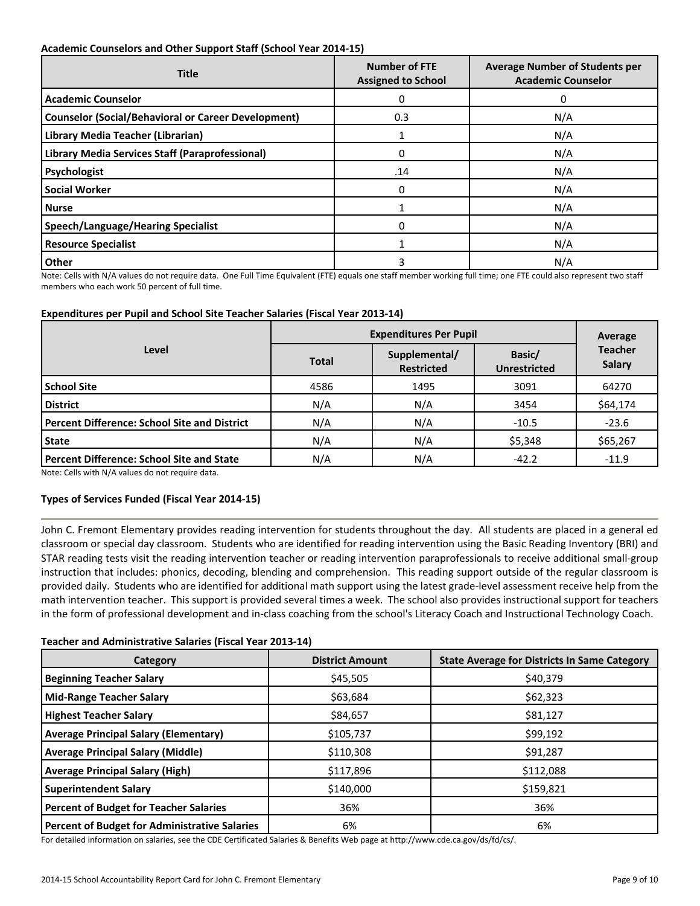### **Academic Counselors and Other Support Staff (School Year 2014-15)**

| <b>Title</b>                                               | <b>Number of FTE</b><br><b>Assigned to School</b> | <b>Average Number of Students per</b><br><b>Academic Counselor</b> |
|------------------------------------------------------------|---------------------------------------------------|--------------------------------------------------------------------|
| <b>Academic Counselor</b>                                  | 0                                                 | 0                                                                  |
| <b>Counselor (Social/Behavioral or Career Development)</b> | 0.3                                               | N/A                                                                |
| Library Media Teacher (Librarian)                          |                                                   | N/A                                                                |
| Library Media Services Staff (Paraprofessional)            | 0                                                 | N/A                                                                |
| Psychologist                                               | .14                                               | N/A                                                                |
| <b>Social Worker</b>                                       | 0                                                 | N/A                                                                |
| <b>Nurse</b>                                               |                                                   | N/A                                                                |
| <b>Speech/Language/Hearing Specialist</b>                  | 0                                                 | N/A                                                                |
| <b>Resource Specialist</b>                                 |                                                   | N/A                                                                |
| Other                                                      | 3                                                 | N/A                                                                |

Note: Cells with N/A values do not require data. One Full Time Equivalent (FTE) equals one staff member working full time; one FTE could also represent two staff members who each work 50 percent of full time.

### **Expenditures per Pupil and School Site Teacher Salaries (Fiscal Year 2013-14)**

|                                              | <b>Expenditures Per Pupil</b> | Average                            |                               |                                 |
|----------------------------------------------|-------------------------------|------------------------------------|-------------------------------|---------------------------------|
| Level                                        | <b>Total</b>                  | Supplemental/<br><b>Restricted</b> | Basic/<br><b>Unrestricted</b> | <b>Teacher</b><br><b>Salary</b> |
| <b>School Site</b>                           | 4586                          | 1495                               | 3091                          | 64270                           |
| <b>District</b>                              | N/A                           | N/A                                | 3454                          | \$64,174                        |
| Percent Difference: School Site and District | N/A                           | N/A                                | $-10.5$                       | $-23.6$                         |
| <b>State</b>                                 | N/A                           | N/A                                | \$5,348                       | \$65,267                        |
| Percent Difference: School Site and State    | N/A                           | N/A                                | $-42.2$                       | $-11.9$                         |

Note: Cells with N/A values do not require data.

# **Types of Services Funded (Fiscal Year 2014-15)**

John C. Fremont Elementary provides reading intervention for students throughout the day. All students are placed in a general ed classroom or special day classroom. Students who are identified for reading intervention using the Basic Reading Inventory (BRI) and STAR reading tests visit the reading intervention teacher or reading intervention paraprofessionals to receive additional small-group instruction that includes: phonics, decoding, blending and comprehension. This reading support outside of the regular classroom is provided daily. Students who are identified for additional math support using the latest grade-level assessment receive help from the math intervention teacher. This support is provided several times a week. The school also provides instructional support for teachers in the form of professional development and in-class coaching from the school's Literacy Coach and Instructional Technology Coach.

#### **Teacher and Administrative Salaries (Fiscal Year 2013-14)**

| Category                                             | <b>District Amount</b> | <b>State Average for Districts In Same Category</b> |
|------------------------------------------------------|------------------------|-----------------------------------------------------|
| <b>Beginning Teacher Salary</b>                      | \$45,505               | \$40,379                                            |
| <b>Mid-Range Teacher Salary</b>                      | \$63,684               | \$62,323                                            |
| <b>Highest Teacher Salary</b>                        | \$84,657               | \$81,127                                            |
| <b>Average Principal Salary (Elementary)</b>         | \$105,737              | \$99,192                                            |
| <b>Average Principal Salary (Middle)</b>             | \$110,308              | \$91,287                                            |
| <b>Average Principal Salary (High)</b>               | \$117,896              | \$112,088                                           |
| <b>Superintendent Salary</b>                         | \$140,000              | \$159,821                                           |
| <b>Percent of Budget for Teacher Salaries</b>        | 36%                    | 36%                                                 |
| <b>Percent of Budget for Administrative Salaries</b> | 6%                     | 6%                                                  |

For detailed information on salaries, see the CDE Certificated Salaries & Benefits Web page at http://www.cde.ca.gov/ds/fd/cs/.